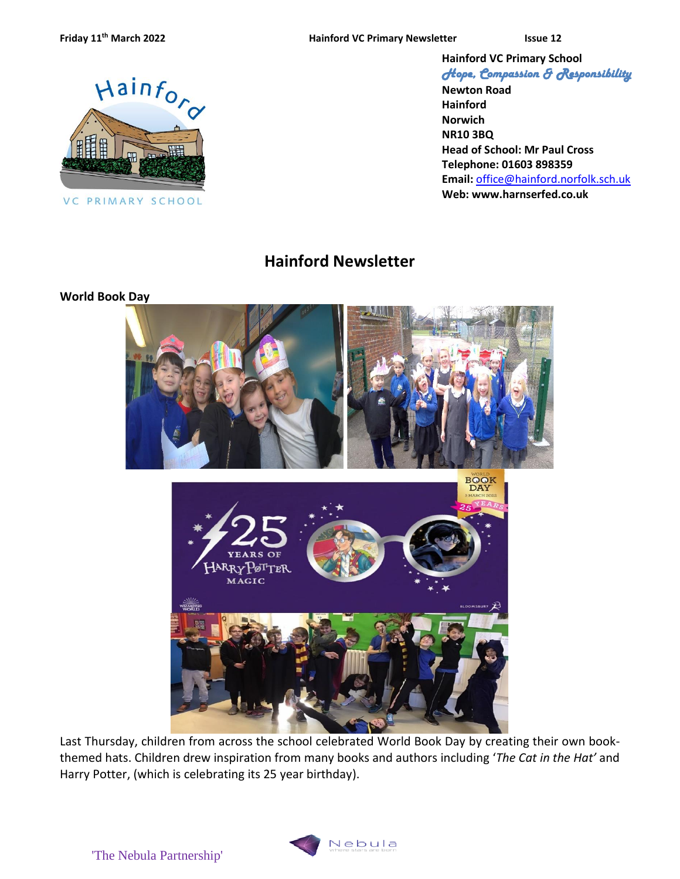**Friday**  $11<sup>th</sup>$  March 2022 **Hainford VC Primary Newsletter ISSUE** ISSUE



VC PRIMARY SCHOOL

**Hainford VC Primary School** *Hope, Compassion & Responsibility* 

**Newton Road Hainford Norwich NR10 3BQ Head of School: Mr Paul Cross Telephone: 01603 898359 Email:** [office@hainford.norfolk.sch.uk](mailto:office@hainfordfirst.norfolk.sch.uk) **Web: www.harnserfed.co.uk**

# **Hainford Newsletter**

#### **World Book Day**



Last Thursday, children from across the school celebrated World Book Day by creating their own bookthemed hats. Children drew inspiration from many books and authors including '*The Cat in the Hat'* and Harry Potter, (which is celebrating its 25 year birthday).

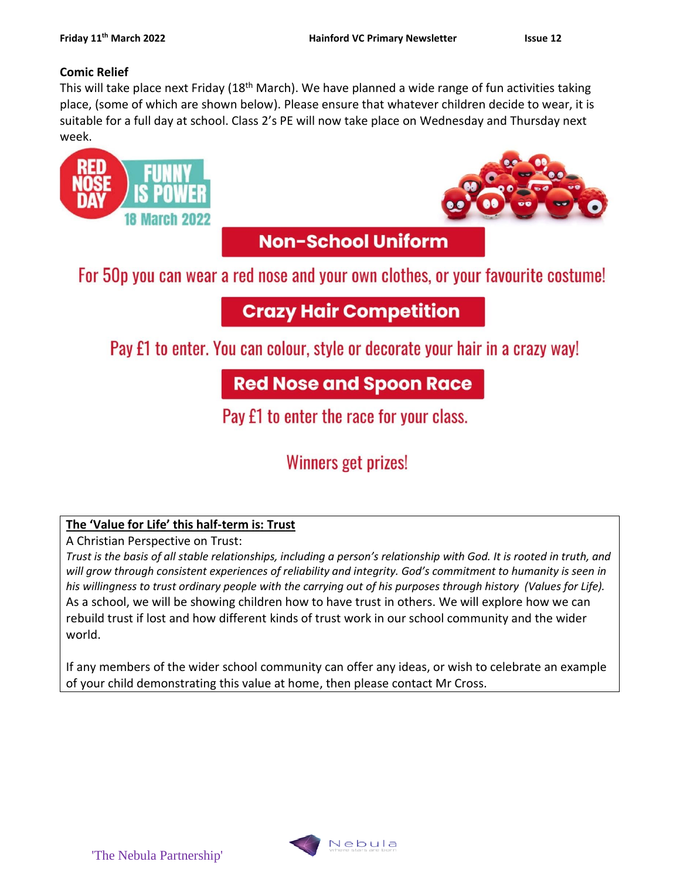#### **Comic Relief**

This will take place next Friday (18<sup>th</sup> March). We have planned a wide range of fun activities taking place, (some of which are shown below). Please ensure that whatever children decide to wear, it is suitable for a full day at school. Class 2's PE will now take place on Wednesday and Thursday next week.



# Winners get prizes!

# **The 'Value for Life' this half-term is: Trust**

A Christian Perspective on Trust:

*Trust is the basis of all stable relationships, including a person's relationship with God. It is rooted in truth, and will grow through consistent experiences of reliability and integrity. God's commitment to humanity is seen in his willingness to trust ordinary people with the carrying out of his purposes through history (Values for Life).* As a school, we will be showing children how to have trust in others. We will explore how we can rebuild trust if lost and how different kinds of trust work in our school community and the wider world.

If any members of the wider school community can offer any ideas, or wish to celebrate an example of your child demonstrating this value at home, then please contact Mr Cross.

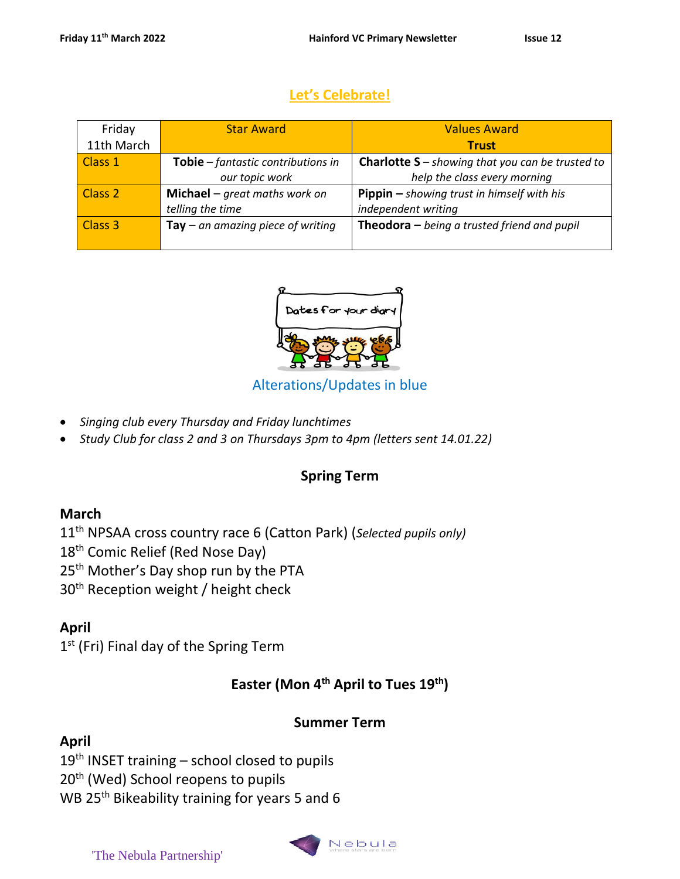# **Let's Celebrate!**

| Friday             | <b>Star Award</b>                          | <b>Values Award</b>                                     |
|--------------------|--------------------------------------------|---------------------------------------------------------|
| 11th March         |                                            | <b>Trust</b>                                            |
| Class 1            | Tobie - fantastic contributions in         | <b>Charlotte S</b> – showing that you can be trusted to |
|                    | our topic work                             | help the class every morning                            |
| Class <sub>2</sub> | Michael $-$ great maths work on            | <b>Pippin</b> $-$ showing trust in himself with his     |
|                    | telling the time                           | independent writing                                     |
| Class <sub>3</sub> | $\textsf{Tay}-an$ amazing piece of writing | <b>Theodora</b> $-$ being a trusted friend and pupil    |
|                    |                                            |                                                         |

# Alterations/Updates in blue

- *Singing club every Thursday and Friday lunchtimes*
- *Study Club for class 2 and 3 on Thursdays 3pm to 4pm (letters sent 14.01.22)*

# **Spring Term**

# **March**

11th NPSAA cross country race 6 (Catton Park) (*Selected pupils only)* 18<sup>th</sup> Comic Relief (Red Nose Day) 25<sup>th</sup> Mother's Day shop run by the PTA 30<sup>th</sup> Reception weight / height check

# **April**

1<sup>st</sup> (Fri) Final day of the Spring Term

# **Easter (Mon 4th April to Tues 19th)**

# **Summer Term**

# **April**

 $19<sup>th</sup>$  INSET training – school closed to pupils

20<sup>th</sup> (Wed) School reopens to pupils

WB 25<sup>th</sup> Bikeability training for years 5 and 6